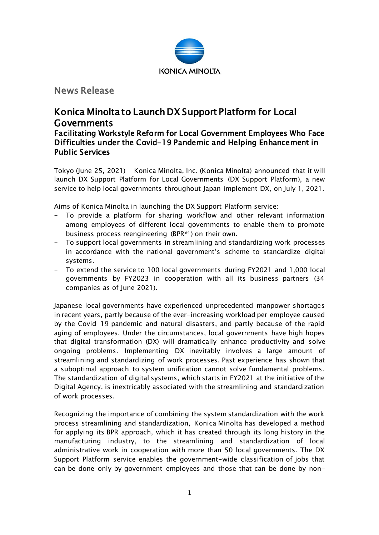

News Release

# Konica Minolta to Launch DX Support Platform for Local Governments

# Facilitating Workstyle Reform for Local Government Employees Who Face Difficulties under the Covid-19 Pandemic and Helping Enhancement in Public Services

Tokyo (June 25, 2021) – Konica Minolta, Inc. (Konica Minolta) announced that it will launch DX Support Platform for Local Governments (DX Support Platform), a new service to help local governments throughout Japan implement DX, on July 1, 2021.

Aims of Konica Minolta in launching the DX Support Platform service:

- To provide a platform for sharing workflow and other relevant information among employees of different local governments to enable them to promote business process reengineering (BPR\*1) on their own.
- To support local governments in streamlining and standardizing work processes in accordance with the national government's scheme to standardize digital systems.
- To extend the service to 100 local governments during FY2021 and 1,000 local governments by FY2023 in cooperation with all its business partners (34 companies as of June 2021).

Japanese local governments have experienced unprecedented manpower shortages in recent years, partly because of the ever-increasing workload per employee caused by the Covid-19 pandemic and natural disasters, and partly because of the rapid aging of employees. Under the circumstances, local governments have high hopes that digital transformation (DX) will dramatically enhance productivity and solve ongoing problems. Implementing DX inevitably involves a large amount of streamlining and standardizing of work processes. Past experience has shown that a suboptimal approach to system unification cannot solve fundamental problems. The standardization of digital systems, which starts in FY2021 at the initiative of the Digital Agency, is inextricably associated with the streamlining and standardization of work processes.

Recognizing the importance of combining the system standardization with the work process streamlining and standardization, Konica Minolta has developed a method for applying its BPR approach, which it has created through its long history in the manufacturing industry, to the streamlining and standardization of local administrative work in cooperation with more than 50 local governments. The DX Support Platform service enables the government-wide classification of jobs that can be done only by government employees and those that can be done by non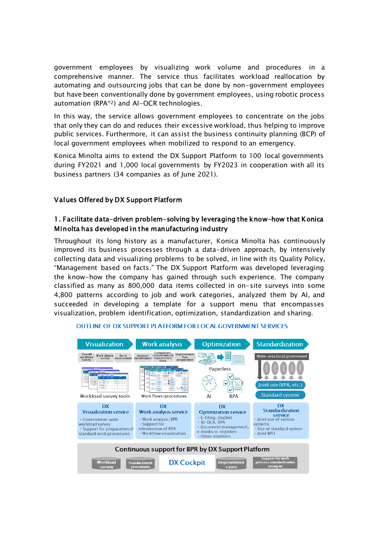government employees by visualizing work volume and procedures in a comprehensive manner. The service thus facilitates workload reallocation by automating and outsourcing jobs that can be done by non-government employees but have been conventionally done by government employees, using robotic process automation (RPA\*2) and AI-OCR technologies.

In this way, the service allows government employees to concentrate on the jobs that only they can do and reduces their excessive workload, thus helping to improve public services. Furthermore, it can assist the business continuity planning (BCP) of local government employees when mobilized to respond to an emergency.

Konica Minolta aims to extend the DX Support Platform to 100 local governments during FY2021 and 1,000 local governments by FY2023 in cooperation with all its business partners (34 companies as of June 2021).

## Values Offered by DX Support Platform

# 1. Facilitate data-driven problem-solving by leveraging the know-how that Konica Minolta has developed in the manufacturing industry

Throughout its long history as a manufacturer, Konica Minolta has continuously improved its business processes through a data-driven approach, by intensively collecting data and visualizing problems to be solved, in line with its Quality Policy, "Management based on facts." The DX Support Platform was developed leveraging the know-how the company has gained through such experience. The company classified as many as 800,000 data items collected in on-site surveys into some 4,800 patterns according to job and work categories, analyzed them by AI, and succeeded in developing a template for a support menu that encompasses visualization, problem identification, optimization, standardization and sharing.

| <b>Visualization</b>                                                                                                                         | <b>Work analysis</b>                                                                                                                             | <b>Optimization</b>                                                                                                                                         | <b>Standardization</b>                                                                                                               |
|----------------------------------------------------------------------------------------------------------------------------------------------|--------------------------------------------------------------------------------------------------------------------------------------------------|-------------------------------------------------------------------------------------------------------------------------------------------------------------|--------------------------------------------------------------------------------------------------------------------------------------|
| Overall<br>Work details<br>$As-is$<br>workload<br>survey<br>assessment<br>survey                                                             | Comparison,<br>consideration of<br>Improvement<br>Problem<br>flow<br>improvement<br>identification<br>preparation<br>flows                       | $= 8$                                                                                                                                                       | Wide-area local government                                                                                                           |
| Workload survey tools                                                                                                                        | Work flows/procedures                                                                                                                            | Paperless<br>✓<br><b>RPA</b><br>AI                                                                                                                          | City C<br>Joint use (RPA, etc.)<br><b>Standard system</b>                                                                            |
|                                                                                                                                              |                                                                                                                                                  |                                                                                                                                                             |                                                                                                                                      |
| DX<br><b>Visualization service</b><br>· Government-wide<br>workload survey<br>$\cdot$ Support for preparation of<br>standard work procedures | <b>DX</b><br><b>Work analysis service</b><br>$\cdot$ Work analysis/BPR<br>. Support for<br>introduction of RPA<br>$\cdot$ Workflow visualization | DX<br><b>Optimization service</b><br>$\cdot$ E-filing, chatbot<br>$\cdot$ AI-OCR. RPA<br>· Document management,<br>e-books/e-registers<br>• Other solutions | <b>DX</b><br><b>Standardization</b><br>service<br>· Joint use of various<br>systems<br>$\cdot$ Use of standard system<br>· Ioint BPO |
|                                                                                                                                              |                                                                                                                                                  | Continuous support for BPR by DX Support Platform                                                                                                           |                                                                                                                                      |

#### **OUTLINE OF DX SUPPORT PLATFORM FOR LOCAL GOVERNMENT SERVICES**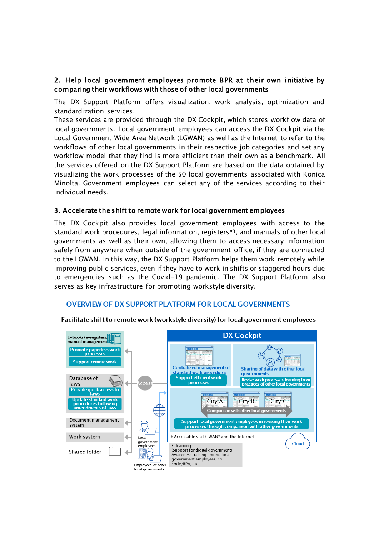# 2. Help local government employees promote BPR at their own initiative by comparing their workflows with those of other local governments

The DX Support Platform offers visualization, work analysis, optimization and standardization services.

These services are provided through the DX Cockpit, which stores workflow data of local governments. Local government employees can access the DX Cockpit via the Local Government Wide Area Network (LGWAN) as well as the Internet to refer to the workflows of other local governments in their respective job categories and set any workflow model that they find is more efficient than their own as a benchmark. All the services offered on the DX Support Platform are based on the data obtained by visualizing the work processes of the 50 local governments associated with Konica Minolta. Government employees can select any of the services according to their individual needs.

## 3. Accelerate the shift to remote work for local government employees

The DX Cockpit also provides local government employees with access to the standard work procedures, legal information, registers\*3, and manuals of other local governments as well as their own, allowing them to access necessary information safely from anywhere when outside of the government office, if they are connected to the LGWAN. In this way, the DX Support Platform helps them work remotely while improving public services, even if they have to work in shifts or staggered hours due to emergencies such as the Covid-19 pandemic. The DX Support Platform also serves as key infrastructure for promoting workstyle diversity.

#### **OVERVIEW OF DX SUPPORT PLATFORM FOR LOCAL GOVERNMENTS**



Facilitate shift to remote work (workstyle diversity) for local government employees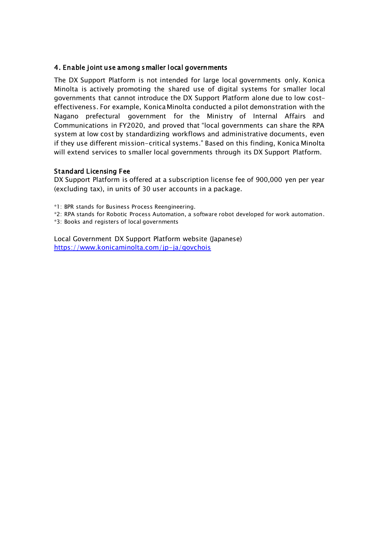## 4. Enable joint use among smaller local governments

The DX Support Platform is not intended for large local governments only. Konica Minolta is actively promoting the shared use of digital systems for smaller local governments that cannot introduce the DX Support Platform alone due to low costeffectiveness. For example, Konica Minolta conducted a pilot demonstration with the Nagano prefectural government for the Ministry of Internal Affairs and Communications in FY2020, and proved that "local governments can share the RPA system at low cost by standardizing workflows and administrative documents, even if they use different mission-critical systems." Based on this finding, Konica Minolta will extend services to smaller local governments through its DX Support Platform.

#### Standard Licensing Fee

DX Support Platform is offered at a subscription license fee of 900,000 yen per year (excluding tax), in units of 30 user accounts in a package.

\*1: BPR stands for Business Process Reengineering.

- \*2: RPA stands for Robotic Process Automation, a software robot developed for work automation.
- \*3: Books and registers of local governments

Local Government DX Support Platform website (Japanese) <https://www.konicaminolta.com/jp-ja/govchois>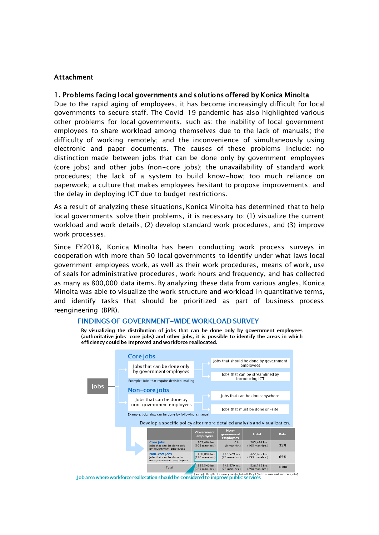#### Attachment

#### 1. Problems facing local governments and solutions offered by Konica Minolta

Due to the rapid aging of employees, it has become increasingly difficult for local governments to secure staff. The Covid-19 pandemic has also highlighted various other problems for local governments, such as: the inability of local government employees to share workload among themselves due to the lack of manuals; the difficulty of working remotely; and the inconvenience of simultaneously using electronic and paper documents. The causes of these problems include: no distinction made between jobs that can be done only by government employees (core jobs) and other jobs (non-core jobs); the unavailability of standard work procedures; the lack of a system to build know-how; too much reliance on paperwork; a culture that makes employees hesitant to propose improvements; and the delay in deploying ICT due to budget restrictions.

As a result of analyzing these situations, Konica Minolta has determined that to help local governments solve their problems, it is necessary to: (1) visualize the current workload and work details, (2) develop standard work procedures, and (3) improve work processes.

Since FY2018, Konica Minolta has been conducting work process surveys in cooperation with more than 50 local governments to identify under what laws local government employees work, as well as their work procedures, means of work, use of seals for administrative procedures, work hours and frequency, and has collected as many as 800,000 data items. By analyzing these data from various angles, Konica Minolta was able to visualize the work structure and workload in quantitative terms, and identify tasks that should be prioritized as part of business process reengineering (BPR).



#### **FINDINGS OF GOVERNMENT-WIDE WORKLOAD SURVEY**

By visualizing the distribution of jobs that can be done only by government employees (authoritative jobs: core jobs) and other jobs, it is possible to identify the areas in which efficiency could be improved and workforce reallocated.

Job area where workforce reallocation should be considered to improve public services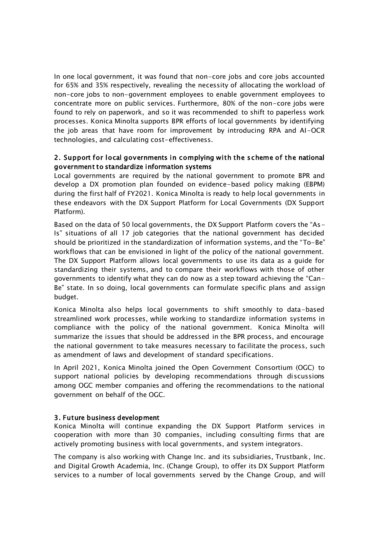In one local government, it was found that non-core jobs and core jobs accounted for 65% and 35% respectively, revealing the necessity of allocating the workload of non-core jobs to non-government employees to enable government employees to concentrate more on public services. Furthermore, 80% of the non-core jobs were found to rely on paperwork, and so it was recommended to shift to paperless work processes. Konica Minolta supports BPR efforts of local governments by identifying the job areas that have room for improvement by introducing RPA and AI-OCR technologies, and calculating cost-effectiveness.

# 2. Support for local governments in complying with the scheme of the national government to standardize information systems

Local governments are required by the national government to promote BPR and develop a DX promotion plan founded on evidence-based policy making (EBPM) during the first half of FY2021. Konica Minolta is ready to help local governments in these endeavors with the DX Support Platform for Local Governments (DX Support Platform).

Based on the data of 50 local governments, the DX Support Platform covers the "As-Is" situations of all 17 job categories that the national government has decided should be prioritized in the standardization of information systems, and the "To-Be" workflows that can be envisioned in light of the policy of the national government. The DX Support Platform allows local governments to use its data as a guide for standardizing their systems, and to compare their workflows with those of other governments to identify what they can do now as a step toward achieving the "Can-Be" state. In so doing, local governments can formulate specific plans and assign budget.

Konica Minolta also helps local governments to shift smoothly to data-based streamlined work processes, while working to standardize information systems in compliance with the policy of the national government. Konica Minolta will summarize the issues that should be addressed in the BPR process, and encourage the national government to take measures necessary to facilitate the process, such as amendment of laws and development of standard specifications.

In April 2021, Konica Minolta joined the Open Government Consortium (OGC) to support national policies by developing recommendations through discussions among OGC member companies and offering the recommendations to the national government on behalf of the OGC.

#### 3. Future business development

Konica Minolta will continue expanding the DX Support Platform services in cooperation with more than 30 companies, including consulting firms that are actively promoting business with local governments, and system integrators.

The company is also working with Change Inc. and its subsidiaries, Trustbank, Inc. and Digital Growth Academia, Inc. (Change Group), to offer its DX Support Platform services to a number of local governments served by the Change Group, and will